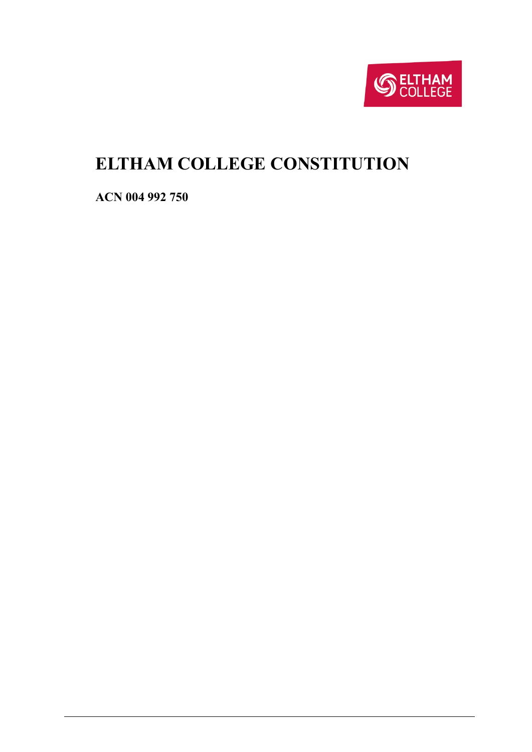

# <span id="page-0-0"></span>**ELTHAM COLLEGE CONSTITUTION**

**ACN 004 992 750**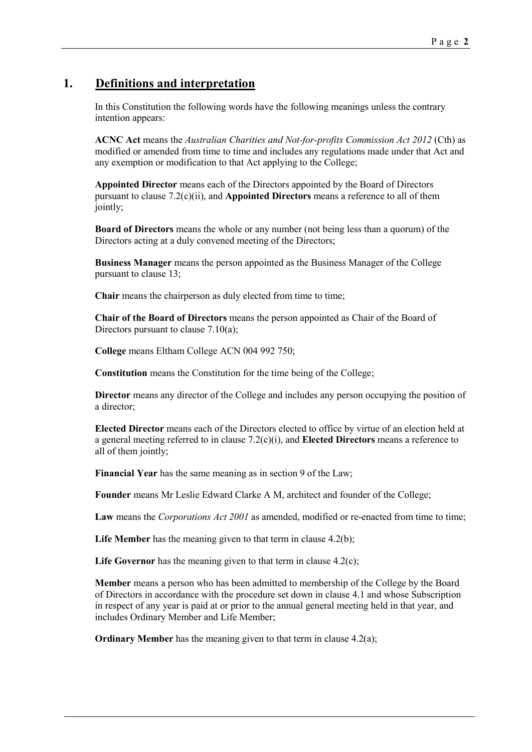# **1. Definitions and interpretation**

In this Constitution the following words have the following meanings unless the contrary intention appears:

**ACNC Act** means the *Australian Charities and Not-for-profits Commission Act 2012* (Cth) as modified or amended from time to time and includes any regulations made under that Act and any exemption or modification to that Act applying to the College;

**Appointed Director** means each of the Directors appointed by the Board of Directors pursuant to clause [7.2\(c\)\(ii\),](#page-7-0) and **Appointed Directors** means a reference to all of them jointly;

**Board of Directors** means the whole or any number (not being less than a quorum) of the Directors acting at a duly convened meeting of the Directors;

**Business Manager** means the person appointed as the Business Manager of the College pursuant to clause [13;](#page-17-0)

**Chair** means the chairperson as duly elected from time to time;

**Chair of the Board of Directors** means the person appointed as Chair of the Board of Directors pursuant to clause  $7.10(a)$ ;

**College** means Eltham College ACN 004 992 750;

**Constitution** means the Constitution for the time being of the College;

**Director** means any director of the College and includes any person occupying the position of a director;

**Elected Director** means each of the Directors elected to office by virtue of an election held at a general meeting referred to in claus[e 7.2\(c\)\(i\),](#page-7-1) and **Elected Directors** means a reference to all of them jointly;

**Financial Year** has the same meaning as in section 9 of the Law;

**Founder** means Mr Leslie Edward Clarke A M, architect and founder of the College;

**Law** means the *Corporations Act 2001* as amended, modified or re-enacted from time to time;

Life Member has the meaning given to that term in clause [4.2\(b\);](#page-4-0)

Life Governor has the meaning given to that term in clause [4.2\(c\);](#page-4-1)

**Member** means a person who has been admitted to membership of the College by the Board of Directors in accordance with the procedure set down in clause [4.1](#page-4-2) and whose Subscription in respect of any year is paid at or prior to the annual general meeting held in that year, and includes Ordinary Member and Life Member;

**Ordinary Member** has the meaning given to that term in clause [4.2\(a\);](#page-4-3)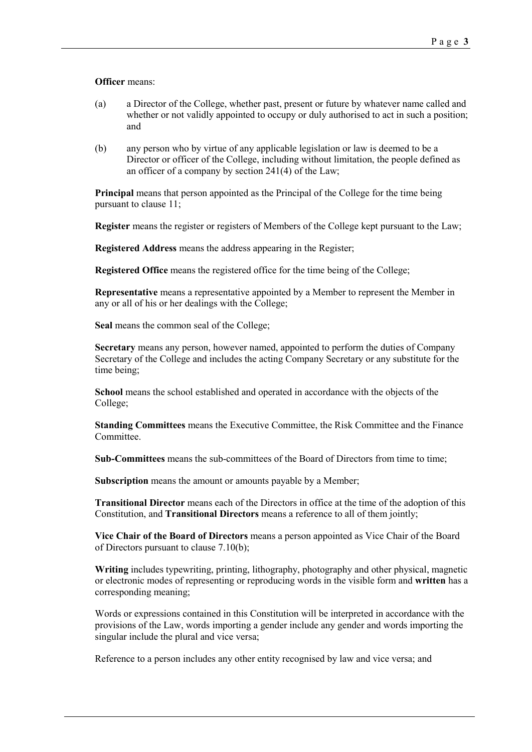#### **Officer** means:

- (a) a Director of the College, whether past, present or future by whatever name called and whether or not validly appointed to occupy or duly authorised to act in such a position; and
- (b) any person who by virtue of any applicable legislation or law is deemed to be a Director or officer of the College, including without limitation, the people defined as an officer of a company by section 241(4) of the Law;

**Principal** means that person appointed as the Principal of the College for the time being pursuant to clause [11;](#page-17-1)

**Register** means the register or registers of Members of the College kept pursuant to the Law;

**Registered Address** means the address appearing in the Register;

**Registered Office** means the registered office for the time being of the College;

**Representative** means a representative appointed by a Member to represent the Member in any or all of his or her dealings with the College;

**Seal** means the common seal of the College;

**Secretary** means any person, however named, appointed to perform the duties of Company Secretary of the College and includes the acting Company Secretary or any substitute for the time being;

**School** means the school established and operated in accordance with the objects of the College;

**Standing Committees** means the Executive Committee, the Risk Committee and the Finance Committee.

**Sub-Committees** means the sub-committees of the Board of Directors from time to time;

**Subscription** means the amount or amounts payable by a Member;

**Transitional Director** means each of the Directors in office at the time of the adoption of this Constitution, and **Transitional Directors** means a reference to all of them jointly;

**Vice Chair of the Board of Directors** means a person appointed as Vice Chair of the Board of Directors pursuant to clause [7.10\(b\);](#page-10-1)

**Writing** includes typewriting, printing, lithography, photography and other physical, magnetic or electronic modes of representing or reproducing words in the visible form and **written** has a corresponding meaning;

Words or expressions contained in this Constitution will be interpreted in accordance with the provisions of the Law, words importing a gender include any gender and words importing the singular include the plural and vice versa;

Reference to a person includes any other entity recognised by law and vice versa; and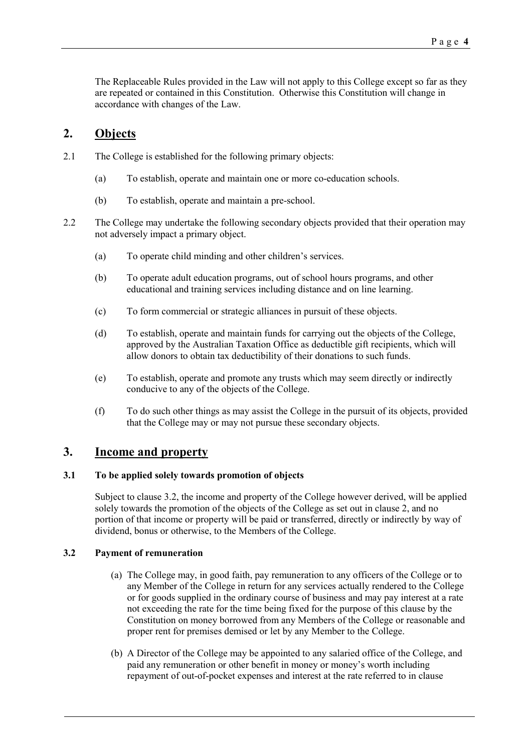The Replaceable Rules provided in the Law will not apply to this College except so far as they are repeated or contained in this Constitution. Otherwise this Constitution will change in accordance with changes of the Law.

# <span id="page-3-1"></span>**2. Objects**

- 2.1 The College is established for the following primary objects:
	- (a) To establish, operate and maintain one or more co-education schools.
	- (b) To establish, operate and maintain a pre-school.
- 2.2 The College may undertake the following secondary objects provided that their operation may not adversely impact a primary object.
	- (a) To operate child minding and other children's services.
	- (b) To operate adult education programs, out of school hours programs, and other educational and training services including distance and on line learning.
	- (c) To form commercial or strategic alliances in pursuit of these objects.
	- (d) To establish, operate and maintain funds for carrying out the objects of the College, approved by the Australian Taxation Office as deductible gift recipients, which will allow donors to obtain tax deductibility of their donations to such funds.
	- (e) To establish, operate and promote any trusts which may seem directly or indirectly conducive to any of the objects of the College.
	- (f) To do such other things as may assist the College in the pursuit of its objects, provided that the College may or may not pursue these secondary objects.

### <span id="page-3-2"></span>**3. Income and property**

### **3.1 To be applied solely towards promotion of objects**

Subject to clause [3.2,](#page-3-0) the income and property of the College however derived, will be applied solely towards the promotion of the objects of the College as set out in clause [2,](#page-3-1) and no portion of that income or property will be paid or transferred, directly or indirectly by way of dividend, bonus or otherwise, to the Members of the College.

### <span id="page-3-0"></span>**3.2 Payment of remuneration**

- (a) The College may, in good faith, pay remuneration to any officers of the College or to any Member of the College in return for any services actually rendered to the College or for goods supplied in the ordinary course of business and may pay interest at a rate not exceeding the rate for the time being fixed for the purpose of this clause by the Constitution on money borrowed from any Members of the College or reasonable and proper rent for premises demised or let by any Member to the College.
- (b) A Director of the College may be appointed to any salaried office of the College, and paid any remuneration or other benefit in money or money's worth including repayment of out-of-pocket expenses and interest at the rate referred to in clause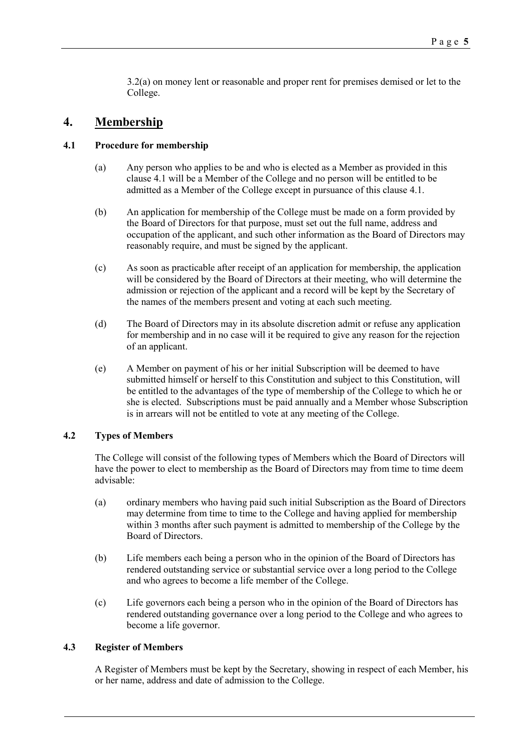[3.2\(a\)](#page-3-0) on money lent or reasonable and proper rent for premises demised or let to the College.

### <span id="page-4-4"></span>**4. Membership**

### <span id="page-4-2"></span>**4.1 Procedure for membership**

- (a) Any person who applies to be and who is elected as a Member as provided in this clause [4.1](#page-4-2) will be a Member of the College and no person will be entitled to be admitted as a Member of the College except in pursuance of this claus[e 4.1.](#page-4-2)
- (b) An application for membership of the College must be made on a form provided by the Board of Directors for that purpose, must set out the full name, address and occupation of the applicant, and such other information as the Board of Directors may reasonably require, and must be signed by the applicant.
- (c) As soon as practicable after receipt of an application for membership, the application will be considered by the Board of Directors at their meeting, who will determine the admission or rejection of the applicant and a record will be kept by the Secretary of the names of the members present and voting at each such meeting.
- (d) The Board of Directors may in its absolute discretion admit or refuse any application for membership and in no case will it be required to give any reason for the rejection of an applicant.
- (e) A Member on payment of his or her initial Subscription will be deemed to have submitted himself or herself to this Constitution and subject to this Constitution, will be entitled to the advantages of the type of membership of the College to which he or she is elected. Subscriptions must be paid annually and a Member whose Subscription is in arrears will not be entitled to vote at any meeting of the College.

### **4.2 Types of Members**

The College will consist of the following types of Members which the Board of Directors will have the power to elect to membership as the Board of Directors may from time to time deem advisable:

- <span id="page-4-3"></span>(a) ordinary members who having paid such initial Subscription as the Board of Directors may determine from time to time to the College and having applied for membership within 3 months after such payment is admitted to membership of the College by the Board of Directors.
- <span id="page-4-0"></span>(b) Life members each being a person who in the opinion of the Board of Directors has rendered outstanding service or substantial service over a long period to the College and who agrees to become a life member of the College.
- <span id="page-4-1"></span>(c) Life governors each being a person who in the opinion of the Board of Directors has rendered outstanding governance over a long period to the College and who agrees to become a life governor.

#### **4.3 Register of Members**

A Register of Members must be kept by the Secretary, showing in respect of each Member, his or her name, address and date of admission to the College.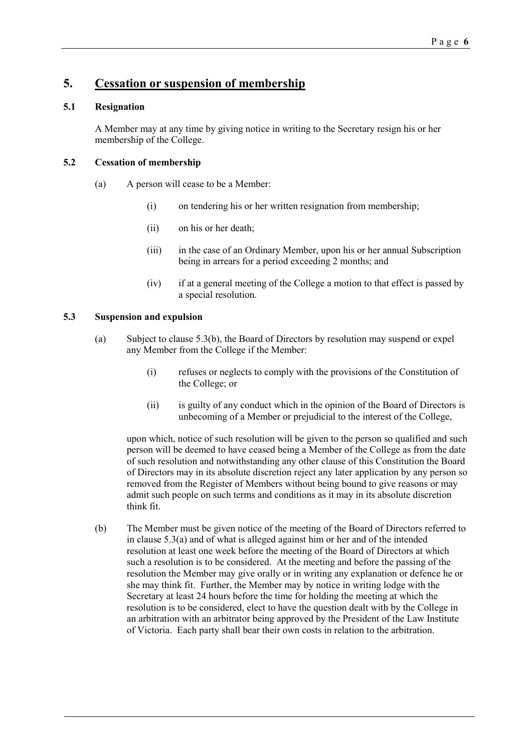### <span id="page-5-3"></span>**5. Cessation or suspension of membership**

### **5.1 Resignation**

A Member may at any time by giving notice in writing to the Secretary resign his or her membership of the College.

### **5.2 Cessation of membership**

- (a) A person will cease to be a Member:
	- (i) on tendering his or her written resignation from membership;
	- (ii) on his or her death;
	- (iii) in the case of an Ordinary Member, upon his or her annual Subscription being in arrears for a period exceeding 2 months; and
	- (iv) if at a general meeting of the College a motion to that effect is passed by a special resolution.

### <span id="page-5-2"></span><span id="page-5-1"></span>**5.3 Suspension and expulsion**

- (a) Subject to clause [5.3\(b\),](#page-5-0) the Board of Directors by resolution may suspend or expel any Member from the College if the Member:
	- (i) refuses or neglects to comply with the provisions of the Constitution of the College; or
	- (ii) is guilty of any conduct which in the opinion of the Board of Directors is unbecoming of a Member or prejudicial to the interest of the College,

upon which, notice of such resolution will be given to the person so qualified and such person will be deemed to have ceased being a Member of the College as from the date of such resolution and notwithstanding any other clause of this Constitution the Board of Directors may in its absolute discretion reject any later application by any person so removed from the Register of Members without being bound to give reasons or may admit such people on such terms and conditions as it may in its absolute discretion think fit.

<span id="page-5-0"></span>(b) The Member must be given notice of the meeting of the Board of Directors referred to in clause [5.3\(a\)](#page-5-1) and of what is alleged against him or her and of the intended resolution at least one week before the meeting of the Board of Directors at which such a resolution is to be considered. At the meeting and before the passing of the resolution the Member may give orally or in writing any explanation or defence he or she may think fit. Further, the Member may by notice in writing lodge with the Secretary at least 24 hours before the time for holding the meeting at which the resolution is to be considered, elect to have the question dealt with by the College in an arbitration with an arbitrator being approved by the President of the Law Institute of Victoria. Each party shall bear their own costs in relation to the arbitration.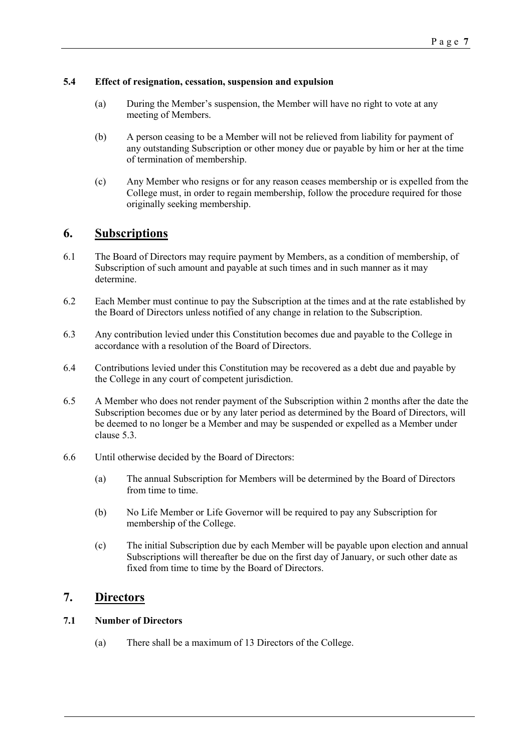### **5.4 Effect of resignation, cessation, suspension and expulsion**

- (a) During the Member's suspension, the Member will have no right to vote at any meeting of Members.
- (b) A person ceasing to be a Member will not be relieved from liability for payment of any outstanding Subscription or other money due or payable by him or her at the time of termination of membership.
- (c) Any Member who resigns or for any reason ceases membership or is expelled from the College must, in order to regain membership, follow the procedure required for those originally seeking membership.

### <span id="page-6-0"></span>**6. Subscriptions**

- 6.1 The Board of Directors may require payment by Members, as a condition of membership, of Subscription of such amount and payable at such times and in such manner as it may determine.
- 6.2 Each Member must continue to pay the Subscription at the times and at the rate established by the Board of Directors unless notified of any change in relation to the Subscription.
- 6.3 Any contribution levied under this Constitution becomes due and payable to the College in accordance with a resolution of the Board of Directors.
- 6.4 Contributions levied under this Constitution may be recovered as a debt due and payable by the College in any court of competent jurisdiction.
- 6.5 A Member who does not render payment of the Subscription within 2 months after the date the Subscription becomes due or by any later period as determined by the Board of Directors, will be deemed to no longer be a Member and may be suspended or expelled as a Member under clause [5.3.](#page-5-2)
- 6.6 Until otherwise decided by the Board of Directors:
	- (a) The annual Subscription for Members will be determined by the Board of Directors from time to time.
	- (b) No Life Member or Life Governor will be required to pay any Subscription for membership of the College.
	- (c) The initial Subscription due by each Member will be payable upon election and annual Subscriptions will thereafter be due on the first day of January, or such other date as fixed from time to time by the Board of Directors.

# <span id="page-6-1"></span>**7. Directors**

### **7.1 Number of Directors**

(a) There shall be a maximum of 13 Directors of the College.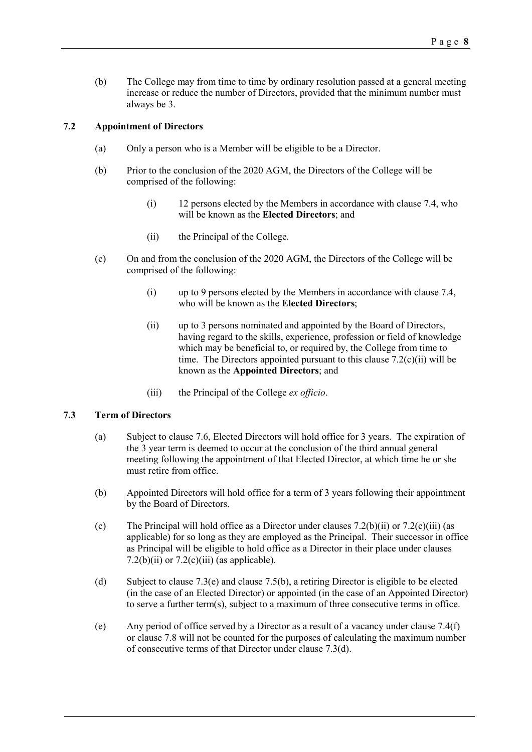(b) The College may from time to time by ordinary resolution passed at a general meeting increase or reduce the number of Directors, provided that the minimum number must always be 3.

### **7.2 Appointment of Directors**

- (a) Only a person who is a Member will be eligible to be a Director.
- (b) Prior to the conclusion of the 2020 AGM, the Directors of the College will be comprised of the following:
	- (i) 12 persons elected by the Members in accordance with clause [7.4,](#page-8-0) who will be known as the **Elected Directors**; and
	- (ii) the Principal of the College.
- <span id="page-7-2"></span><span id="page-7-1"></span><span id="page-7-0"></span>(c) On and from the conclusion of the 2020 AGM, the Directors of the College will be comprised of the following:
	- (i) up to 9 persons elected by the Members in accordance with claus[e 7.4,](#page-8-0) who will be known as the **Elected Directors**;
	- (ii) up to 3 persons nominated and appointed by the Board of Directors, having regard to the skills, experience, profession or field of knowledge which may be beneficial to, or required by, the College from time to time. The Directors appointed pursuant to this clause  $7.2(c)(ii)$  will be known as the **Appointed Directors**; and
	- (iii) the Principal of the College *ex officio*.

### <span id="page-7-3"></span>**7.3 Term of Directors**

- (a) Subject to clause [7.6,](#page-9-0) Elected Directors will hold office for 3 years. The expiration of the 3 year term is deemed to occur at the conclusion of the third annual general meeting following the appointment of that Elected Director, at which time he or she must retire from office.
- (b) Appointed Directors will hold office for a term of 3 years following their appointment by the Board of Directors.
- (c) The Principal will hold office as a Director under clauses  $7.2(b)(ii)$  or  $7.2(c)(iii)$  (as applicable) for so long as they are employed as the Principal. Their successor in office as Principal will be eligible to hold office as a Director in their place under clauses [7.2\(b\)\(ii\)](#page-7-2) or  $7.2(c)$ (iii) (as applicable).
- <span id="page-7-5"></span>(d) Subject to clause [7.3\(e\)](#page-7-4) and clause [7.5\(b\),](#page-9-1) a retiring Director is eligible to be elected (in the case of an Elected Director) or appointed (in the case of an Appointed Director) to serve a further term(s), subject to a maximum of three consecutive terms in office.
- <span id="page-7-4"></span>(e) Any period of office served by a Director as a result of a vacancy under clause [7.4\(f\)](#page-9-2) or clause [7.8](#page-10-2) will not be counted for the purposes of calculating the maximum number of consecutive terms of that Director under clause [7.3\(d\).](#page-7-5)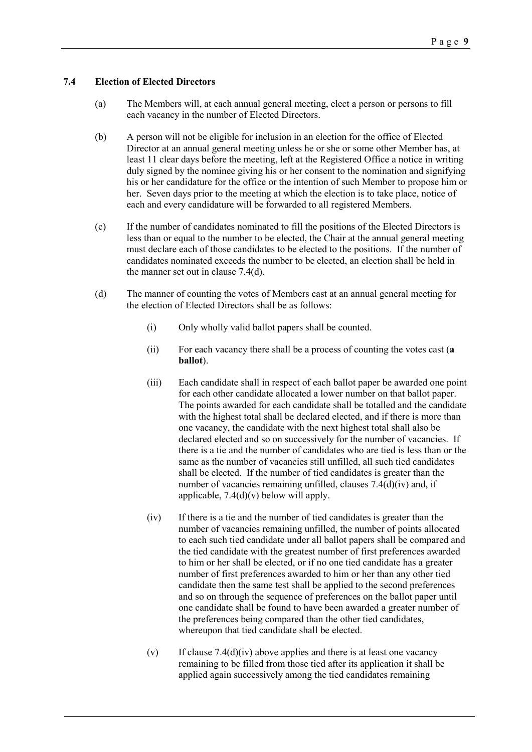#### <span id="page-8-0"></span>**7.4 Election of Elected Directors**

- (a) The Members will, at each annual general meeting, elect a person or persons to fill each vacancy in the number of Elected Directors.
- (b) A person will not be eligible for inclusion in an election for the office of Elected Director at an annual general meeting unless he or she or some other Member has, at least 11 clear days before the meeting, left at the Registered Office a notice in writing duly signed by the nominee giving his or her consent to the nomination and signifying his or her candidature for the office or the intention of such Member to propose him or her. Seven days prior to the meeting at which the election is to take place, notice of each and every candidature will be forwarded to all registered Members.
- (c) If the number of candidates nominated to fill the positions of the Elected Directors is less than or equal to the number to be elected, the Chair at the annual general meeting must declare each of those candidates to be elected to the positions. If the number of candidates nominated exceeds the number to be elected, an election shall be held in the manner set out in clause [7.4\(d\).](#page-8-1)
- <span id="page-8-3"></span><span id="page-8-2"></span><span id="page-8-1"></span>(d) The manner of counting the votes of Members cast at an annual general meeting for the election of Elected Directors shall be as follows:
	- (i) Only wholly valid ballot papers shall be counted.
	- (ii) For each vacancy there shall be a process of counting the votes cast (**a ballot**).
	- (iii) Each candidate shall in respect of each ballot paper be awarded one point for each other candidate allocated a lower number on that ballot paper. The points awarded for each candidate shall be totalled and the candidate with the highest total shall be declared elected, and if there is more than one vacancy, the candidate with the next highest total shall also be declared elected and so on successively for the number of vacancies. If there is a tie and the number of candidates who are tied is less than or the same as the number of vacancies still unfilled, all such tied candidates shall be elected. If the number of tied candidates is greater than the number of vacancies remaining unfilled, clauses [7.4\(d\)\(iv\)](#page-8-2) and, if applicable[, 7.4\(d\)\(v\)](#page-8-3) below will apply.
	- (iv) If there is a tie and the number of tied candidates is greater than the number of vacancies remaining unfilled, the number of points allocated to each such tied candidate under all ballot papers shall be compared and the tied candidate with the greatest number of first preferences awarded to him or her shall be elected, or if no one tied candidate has a greater number of first preferences awarded to him or her than any other tied candidate then the same test shall be applied to the second preferences and so on through the sequence of preferences on the ballot paper until one candidate shall be found to have been awarded a greater number of the preferences being compared than the other tied candidates, whereupon that tied candidate shall be elected.
	- (v) If clause  $7.4(d)(iv)$  above applies and there is at least one vacancy remaining to be filled from those tied after its application it shall be applied again successively among the tied candidates remaining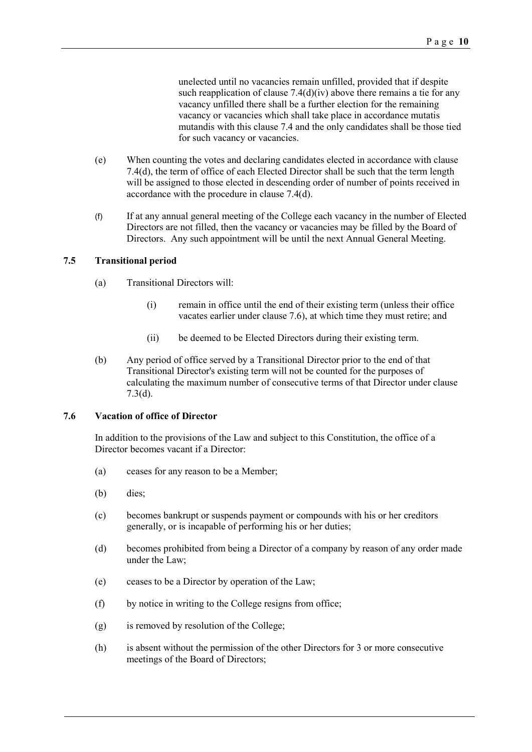<span id="page-9-2"></span>unelected until no vacancies remain unfilled, provided that if despite such reapplication of clause  $7.4(d)(iv)$  above there remains a tie for any vacancy unfilled there shall be a further election for the remaining vacancy or vacancies which shall take place in accordance mutatis mutandis with this clause [7.4](#page-8-0) and the only candidates shall be those tied for such vacancy or vacancies.

- (e) When counting the votes and declaring candidates elected in accordance with clause [7.4\(d\),](#page-8-1) the term of office of each Elected Director shall be such that the term length will be assigned to those elected in descending order of number of points received in accordance with the procedure in clause [7.4\(d\).](#page-8-1)
- (f) If at any annual general meeting of the College each vacancy in the number of Elected Directors are not filled, then the vacancy or vacancies may be filled by the Board of Directors. Any such appointment will be until the next Annual General Meeting.

#### **7.5 Transitional period**

- (a) Transitional Directors will:
	- (i) remain in office until the end of their existing term (unless their office vacates earlier under clause [7.6\)](#page-9-0), at which time they must retire; and
	- (ii) be deemed to be Elected Directors during their existing term.
- <span id="page-9-1"></span>(b) Any period of office served by a Transitional Director prior to the end of that Transitional Director's existing term will not be counted for the purposes of calculating the maximum number of consecutive terms of that Director under clause [7.3\(d\).](#page-7-5)

### <span id="page-9-0"></span>**7.6 Vacation of office of Director**

In addition to the provisions of the Law and subject to this Constitution, the office of a Director becomes vacant if a Director:

- (a) ceases for any reason to be a Member;
- (b) dies;
- (c) becomes bankrupt or suspends payment or compounds with his or her creditors generally, or is incapable of performing his or her duties;
- (d) becomes prohibited from being a Director of a company by reason of any order made under the Law;
- (e) ceases to be a Director by operation of the Law;
- (f) by notice in writing to the College resigns from office;
- (g) is removed by resolution of the College;
- (h) is absent without the permission of the other Directors for 3 or more consecutive meetings of the Board of Directors;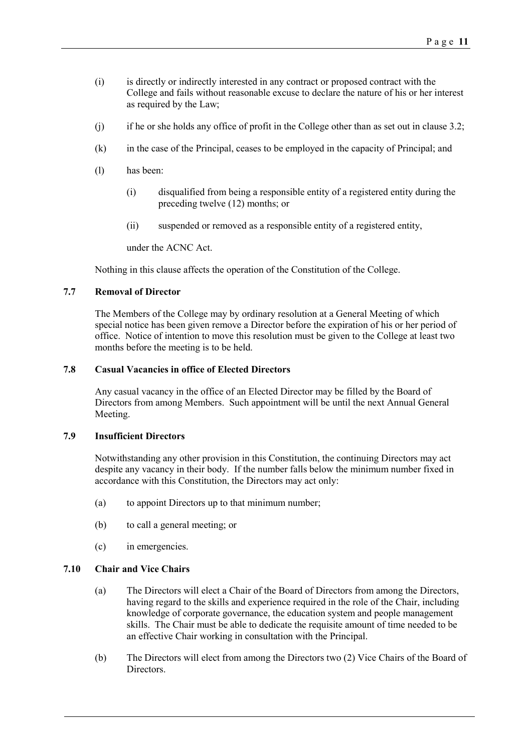- (i) is directly or indirectly interested in any contract or proposed contract with the College and fails without reasonable excuse to declare the nature of his or her interest as required by the Law;
- (j) if he or she holds any office of profit in the College other than as set out in clause [3.2;](#page-3-0)
- (k) in the case of the Principal, ceases to be employed in the capacity of Principal; and
- (l) has been:
	- (i) disqualified from being a responsible entity of a registered entity during the preceding twelve (12) months; or
	- (ii) suspended or removed as a responsible entity of a registered entity,

under the ACNC Act.

Nothing in this clause affects the operation of the Constitution of the College.

### **7.7 Removal of Director**

The Members of the College may by ordinary resolution at a General Meeting of which special notice has been given remove a Director before the expiration of his or her period of office. Notice of intention to move this resolution must be given to the College at least two months before the meeting is to be held.

### <span id="page-10-2"></span>**7.8 Casual Vacancies in office of Elected Directors**

Any casual vacancy in the office of an Elected Director may be filled by the Board of Directors from among Members. Such appointment will be until the next Annual General Meeting.

### **7.9 Insufficient Directors**

Notwithstanding any other provision in this Constitution, the continuing Directors may act despite any vacancy in their body. If the number falls below the minimum number fixed in accordance with this Constitution, the Directors may act only:

- (a) to appoint Directors up to that minimum number;
- (b) to call a general meeting; or
- (c) in emergencies.

### <span id="page-10-0"></span>**7.10 Chair and Vice Chairs**

- (a) The Directors will elect a Chair of the Board of Directors from among the Directors, having regard to the skills and experience required in the role of the Chair, including knowledge of corporate governance, the education system and people management skills. The Chair must be able to dedicate the requisite amount of time needed to be an effective Chair working in consultation with the Principal.
- <span id="page-10-1"></span>(b) The Directors will elect from among the Directors two (2) Vice Chairs of the Board of Directors.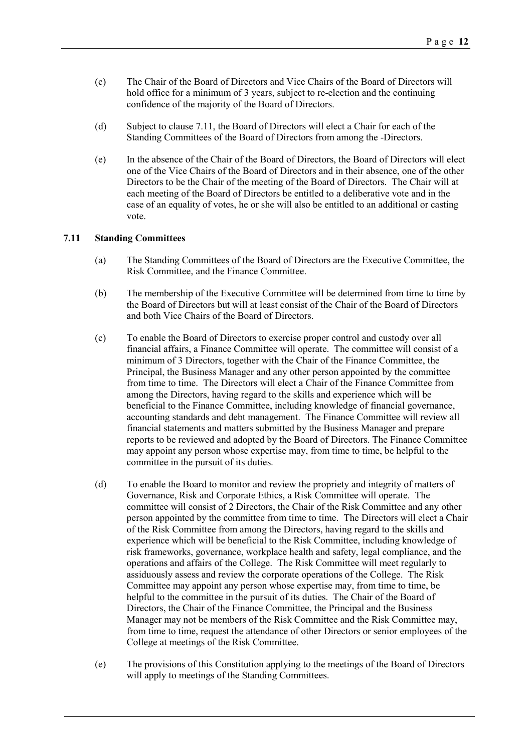- (c) The Chair of the Board of Directors and Vice Chairs of the Board of Directors will hold office for a minimum of 3 years, subject to re-election and the continuing confidence of the majority of the Board of Directors.
- (d) Subject to clause [7.11,](#page-11-0) the Board of Directors will elect a Chair for each of the Standing Committees of the Board of Directors from among the -Directors.
- (e) In the absence of the Chair of the Board of Directors, the Board of Directors will elect one of the Vice Chairs of the Board of Directors and in their absence, one of the other Directors to be the Chair of the meeting of the Board of Directors. The Chair will at each meeting of the Board of Directors be entitled to a deliberative vote and in the case of an equality of votes, he or she will also be entitled to an additional or casting vote.

#### <span id="page-11-0"></span>**7.11 Standing Committees**

- (a) The Standing Committees of the Board of Directors are the Executive Committee, the Risk Committee, and the Finance Committee.
- (b) The membership of the Executive Committee will be determined from time to time by the Board of Directors but will at least consist of the Chair of the Board of Directors and both Vice Chairs of the Board of Directors.
- (c) To enable the Board of Directors to exercise proper control and custody over all financial affairs, a Finance Committee will operate. The committee will consist of a minimum of 3 Directors, together with the Chair of the Finance Committee, the Principal, the Business Manager and any other person appointed by the committee from time to time. The Directors will elect a Chair of the Finance Committee from among the Directors, having regard to the skills and experience which will be beneficial to the Finance Committee, including knowledge of financial governance, accounting standards and debt management. The Finance Committee will review all financial statements and matters submitted by the Business Manager and prepare reports to be reviewed and adopted by the Board of Directors. The Finance Committee may appoint any person whose expertise may, from time to time, be helpful to the committee in the pursuit of its duties.
- (d) To enable the Board to monitor and review the propriety and integrity of matters of Governance, Risk and Corporate Ethics, a Risk Committee will operate. The committee will consist of 2 Directors, the Chair of the Risk Committee and any other person appointed by the committee from time to time. The Directors will elect a Chair of the Risk Committee from among the Directors, having regard to the skills and experience which will be beneficial to the Risk Committee, including knowledge of risk frameworks, governance, workplace health and safety, legal compliance, and the operations and affairs of the College. The Risk Committee will meet regularly to assiduously assess and review the corporate operations of the College. The Risk Committee may appoint any person whose expertise may, from time to time, be helpful to the committee in the pursuit of its duties. The Chair of the Board of Directors, the Chair of the Finance Committee, the Principal and the Business Manager may not be members of the Risk Committee and the Risk Committee may, from time to time, request the attendance of other Directors or senior employees of the College at meetings of the Risk Committee.
- (e) The provisions of this Constitution applying to the meetings of the Board of Directors will apply to meetings of the Standing Committees.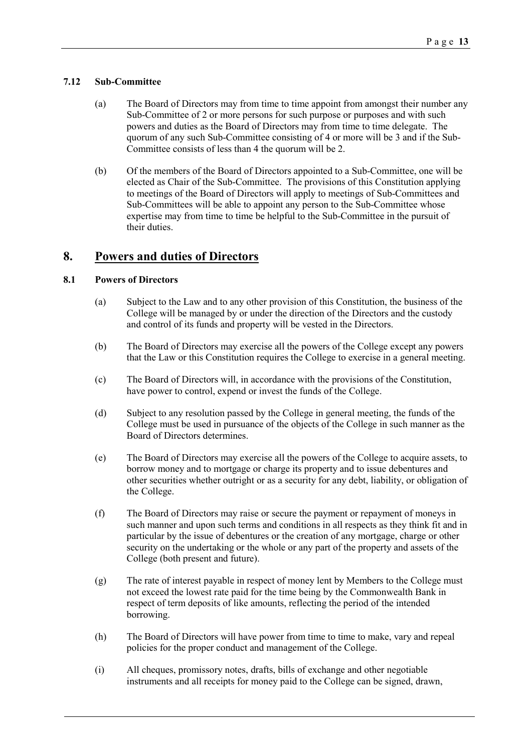### **7.12 Sub-Committee**

- (a) The Board of Directors may from time to time appoint from amongst their number any Sub-Committee of 2 or more persons for such purpose or purposes and with such powers and duties as the Board of Directors may from time to time delegate. The quorum of any such Sub-Committee consisting of 4 or more will be 3 and if the Sub-Committee consists of less than 4 the quorum will be 2.
- (b) Of the members of the Board of Directors appointed to a Sub-Committee, one will be elected as Chair of the Sub-Committee. The provisions of this Constitution applying to meetings of the Board of Directors will apply to meetings of Sub-Committees and Sub-Committees will be able to appoint any person to the Sub-Committee whose expertise may from time to time be helpful to the Sub-Committee in the pursuit of their duties.

# <span id="page-12-0"></span>**8. Powers and duties of Directors**

### **8.1 Powers of Directors**

- (a) Subject to the Law and to any other provision of this Constitution, the business of the College will be managed by or under the direction of the Directors and the custody and control of its funds and property will be vested in the Directors.
- (b) The Board of Directors may exercise all the powers of the College except any powers that the Law or this Constitution requires the College to exercise in a general meeting.
- (c) The Board of Directors will, in accordance with the provisions of the Constitution, have power to control, expend or invest the funds of the College.
- (d) Subject to any resolution passed by the College in general meeting, the funds of the College must be used in pursuance of the objects of the College in such manner as the Board of Directors determines.
- (e) The Board of Directors may exercise all the powers of the College to acquire assets, to borrow money and to mortgage or charge its property and to issue debentures and other securities whether outright or as a security for any debt, liability, or obligation of the College.
- (f) The Board of Directors may raise or secure the payment or repayment of moneys in such manner and upon such terms and conditions in all respects as they think fit and in particular by the issue of debentures or the creation of any mortgage, charge or other security on the undertaking or the whole or any part of the property and assets of the College (both present and future).
- (g) The rate of interest payable in respect of money lent by Members to the College must not exceed the lowest rate paid for the time being by the Commonwealth Bank in respect of term deposits of like amounts, reflecting the period of the intended borrowing.
- (h) The Board of Directors will have power from time to time to make, vary and repeal policies for the proper conduct and management of the College.
- (i) All cheques, promissory notes, drafts, bills of exchange and other negotiable instruments and all receipts for money paid to the College can be signed, drawn,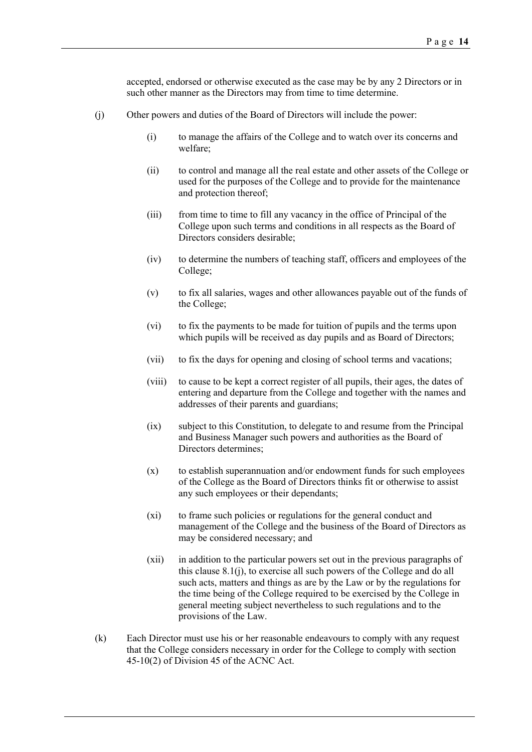accepted, endorsed or otherwise executed as the case may be by any 2 Directors or in such other manner as the Directors may from time to time determine.

- <span id="page-13-0"></span>(j) Other powers and duties of the Board of Directors will include the power:
	- (i) to manage the affairs of the College and to watch over its concerns and welfare;
	- (ii) to control and manage all the real estate and other assets of the College or used for the purposes of the College and to provide for the maintenance and protection thereof;
	- (iii) from time to time to fill any vacancy in the office of Principal of the College upon such terms and conditions in all respects as the Board of Directors considers desirable;
	- (iv) to determine the numbers of teaching staff, officers and employees of the College;
	- (v) to fix all salaries, wages and other allowances payable out of the funds of the College;
	- (vi) to fix the payments to be made for tuition of pupils and the terms upon which pupils will be received as day pupils and as Board of Directors;
	- (vii) to fix the days for opening and closing of school terms and vacations;
	- (viii) to cause to be kept a correct register of all pupils, their ages, the dates of entering and departure from the College and together with the names and addresses of their parents and guardians;
	- (ix) subject to this Constitution, to delegate to and resume from the Principal and Business Manager such powers and authorities as the Board of Directors determines;
	- (x) to establish superannuation and/or endowment funds for such employees of the College as the Board of Directors thinks fit or otherwise to assist any such employees or their dependants;
	- (xi) to frame such policies or regulations for the general conduct and management of the College and the business of the Board of Directors as may be considered necessary; and
	- (xii) in addition to the particular powers set out in the previous paragraphs of this clause [8.1\(j\),](#page-13-0) to exercise all such powers of the College and do all such acts, matters and things as are by the Law or by the regulations for the time being of the College required to be exercised by the College in general meeting subject nevertheless to such regulations and to the provisions of the Law.
- (k) Each Director must use his or her reasonable endeavours to comply with any request that the College considers necessary in order for the College to comply with section 45-10(2) of Division 45 of the ACNC Act.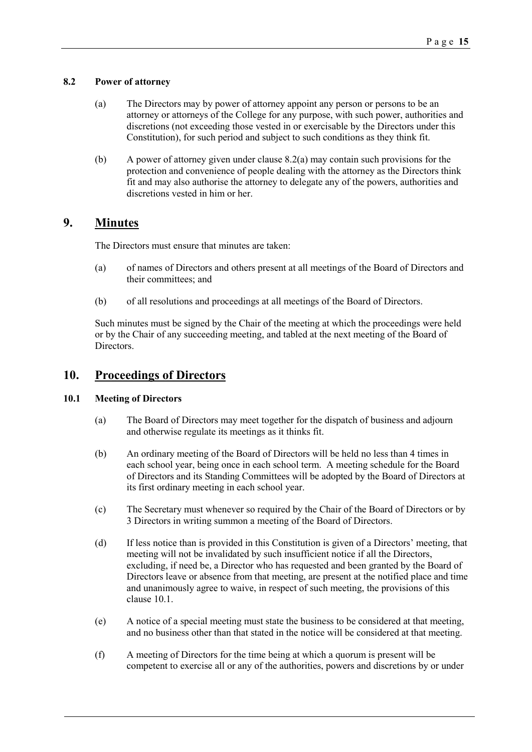### <span id="page-14-0"></span>**8.2 Power of attorney**

- (a) The Directors may by power of attorney appoint any person or persons to be an attorney or attorneys of the College for any purpose, with such power, authorities and discretions (not exceeding those vested in or exercisable by the Directors under this Constitution), for such period and subject to such conditions as they think fit.
- (b) A power of attorney given under claus[e 8.2\(a\)](#page-14-0) may contain such provisions for the protection and convenience of people dealing with the attorney as the Directors think fit and may also authorise the attorney to delegate any of the powers, authorities and discretions vested in him or her.

## <span id="page-14-2"></span>**9. Minutes**

The Directors must ensure that minutes are taken:

- (a) of names of Directors and others present at all meetings of the Board of Directors and their committees; and
- (b) of all resolutions and proceedings at all meetings of the Board of Directors.

Such minutes must be signed by the Chair of the meeting at which the proceedings were held or by the Chair of any succeeding meeting, and tabled at the next meeting of the Board of Directors.

# <span id="page-14-3"></span>**10. Proceedings of Directors**

### <span id="page-14-1"></span>**10.1 Meeting of Directors**

- (a) The Board of Directors may meet together for the dispatch of business and adjourn and otherwise regulate its meetings as it thinks fit.
- (b) An ordinary meeting of the Board of Directors will be held no less than 4 times in each school year, being once in each school term. A meeting schedule for the Board of Directors and its Standing Committees will be adopted by the Board of Directors at its first ordinary meeting in each school year.
- (c) The Secretary must whenever so required by the Chair of the Board of Directors or by 3 Directors in writing summon a meeting of the Board of Directors.
- (d) If less notice than is provided in this Constitution is given of a Directors' meeting, that meeting will not be invalidated by such insufficient notice if all the Directors, excluding, if need be, a Director who has requested and been granted by the Board of Directors leave or absence from that meeting, are present at the notified place and time and unanimously agree to waive, in respect of such meeting, the provisions of this clause [10.1.](#page-14-1)
- (e) A notice of a special meeting must state the business to be considered at that meeting, and no business other than that stated in the notice will be considered at that meeting.
- (f) A meeting of Directors for the time being at which a quorum is present will be competent to exercise all or any of the authorities, powers and discretions by or under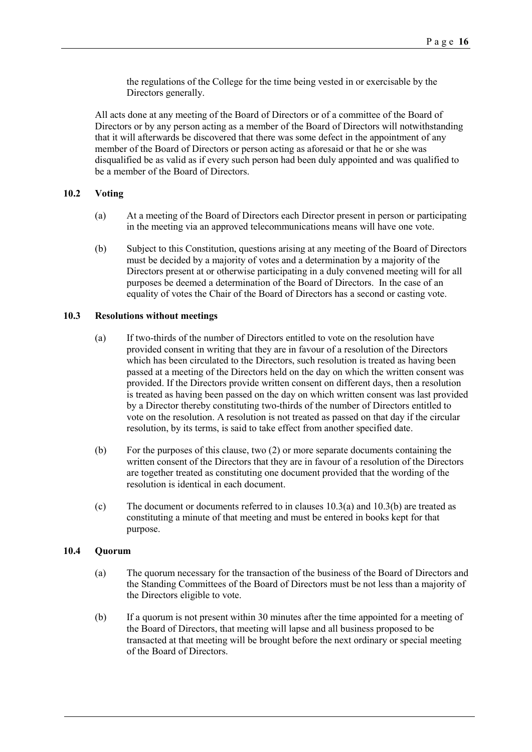the regulations of the College for the time being vested in or exercisable by the Directors generally.

All acts done at any meeting of the Board of Directors or of a committee of the Board of Directors or by any person acting as a member of the Board of Directors will notwithstanding that it will afterwards be discovered that there was some defect in the appointment of any member of the Board of Directors or person acting as aforesaid or that he or she was disqualified be as valid as if every such person had been duly appointed and was qualified to be a member of the Board of Directors.

### **10.2 Voting**

- (a) At a meeting of the Board of Directors each Director present in person or participating in the meeting via an approved telecommunications means will have one vote.
- (b) Subject to this Constitution, questions arising at any meeting of the Board of Directors must be decided by a majority of votes and a determination by a majority of the Directors present at or otherwise participating in a duly convened meeting will for all purposes be deemed a determination of the Board of Directors. In the case of an equality of votes the Chair of the Board of Directors has a second or casting vote.

#### <span id="page-15-0"></span>**10.3 Resolutions without meetings**

- (a) If two-thirds of the number of Directors entitled to vote on the resolution have provided consent in writing that they are in favour of a resolution of the Directors which has been circulated to the Directors, such resolution is treated as having been passed at a meeting of the Directors held on the day on which the written consent was provided. If the Directors provide written consent on different days, then a resolution is treated as having been passed on the day on which written consent was last provided by a Director thereby constituting two-thirds of the number of Directors entitled to vote on the resolution. A resolution is not treated as passed on that day if the circular resolution, by its terms, is said to take effect from another specified date.
- <span id="page-15-1"></span>(b) For the purposes of this clause, two (2) or more separate documents containing the written consent of the Directors that they are in favour of a resolution of the Directors are together treated as constituting one document provided that the wording of the resolution is identical in each document.
- (c) The document or documents referred to in clauses [10.3\(a\)](#page-15-0) an[d 10.3\(b\)](#page-15-1) are treated as constituting a minute of that meeting and must be entered in books kept for that purpose.

#### **10.4 Quorum**

- (a) The quorum necessary for the transaction of the business of the Board of Directors and the Standing Committees of the Board of Directors must be not less than a majority of the Directors eligible to vote.
- (b) If a quorum is not present within 30 minutes after the time appointed for a meeting of the Board of Directors, that meeting will lapse and all business proposed to be transacted at that meeting will be brought before the next ordinary or special meeting of the Board of Directors.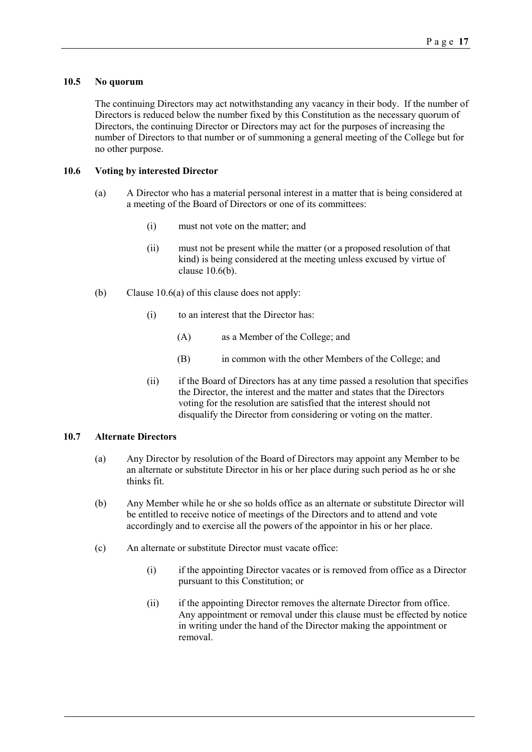### **10.5 No quorum**

The continuing Directors may act notwithstanding any vacancy in their body. If the number of Directors is reduced below the number fixed by this Constitution as the necessary quorum of Directors, the continuing Director or Directors may act for the purposes of increasing the number of Directors to that number or of summoning a general meeting of the College but for no other purpose.

### <span id="page-16-1"></span>**10.6 Voting by interested Director**

- (a) A Director who has a material personal interest in a matter that is being considered at a meeting of the Board of Directors or one of its committees:
	- (i) must not vote on the matter; and
	- (ii) must not be present while the matter (or a proposed resolution of that kind) is being considered at the meeting unless excused by virtue of clause [10.6\(b\).](#page-16-0)
- <span id="page-16-0"></span>(b) Clause [10.6\(a\)](#page-16-1) of this clause does not apply:
	- (i) to an interest that the Director has:
		- (A) as a Member of the College; and
		- (B) in common with the other Members of the College; and
	- (ii) if the Board of Directors has at any time passed a resolution that specifies the Director, the interest and the matter and states that the Directors voting for the resolution are satisfied that the interest should not disqualify the Director from considering or voting on the matter.

### **10.7 Alternate Directors**

- (a) Any Director by resolution of the Board of Directors may appoint any Member to be an alternate or substitute Director in his or her place during such period as he or she thinks fit.
- (b) Any Member while he or she so holds office as an alternate or substitute Director will be entitled to receive notice of meetings of the Directors and to attend and vote accordingly and to exercise all the powers of the appointor in his or her place.
- (c) An alternate or substitute Director must vacate office:
	- (i) if the appointing Director vacates or is removed from office as a Director pursuant to this Constitution; or
	- (ii) if the appointing Director removes the alternate Director from office. Any appointment or removal under this clause must be effected by notice in writing under the hand of the Director making the appointment or removal.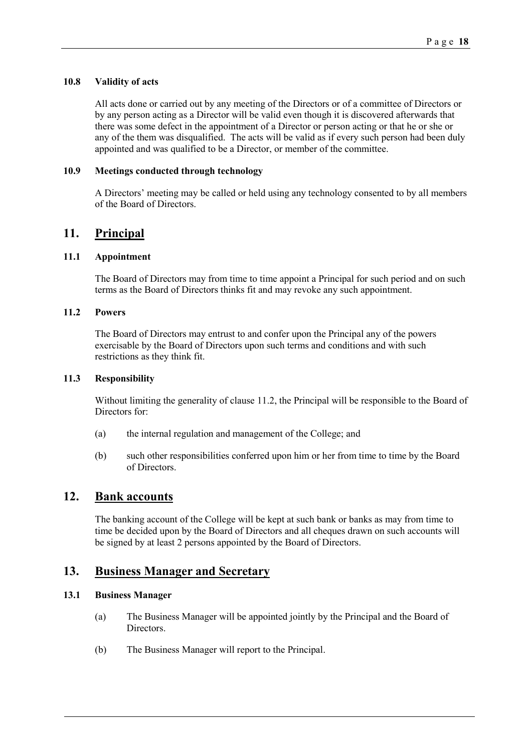### **10.8 Validity of acts**

All acts done or carried out by any meeting of the Directors or of a committee of Directors or by any person acting as a Director will be valid even though it is discovered afterwards that there was some defect in the appointment of a Director or person acting or that he or she or any of the them was disqualified. The acts will be valid as if every such person had been duly appointed and was qualified to be a Director, or member of the committee.

### **10.9 Meetings conducted through technology**

A Directors' meeting may be called or held using any technology consented to by all members of the Board of Directors.

## <span id="page-17-1"></span>**11. Principal**

### **11.1 Appointment**

The Board of Directors may from time to time appoint a Principal for such period and on such terms as the Board of Directors thinks fit and may revoke any such appointment.

### <span id="page-17-2"></span>**11.2 Powers**

The Board of Directors may entrust to and confer upon the Principal any of the powers exercisable by the Board of Directors upon such terms and conditions and with such restrictions as they think fit.

### **11.3 Responsibility**

Without limiting the generality of clause [11.2,](#page-17-2) the Principal will be responsible to the Board of Directors for:

- (a) the internal regulation and management of the College; and
- (b) such other responsibilities conferred upon him or her from time to time by the Board of Directors.

## <span id="page-17-3"></span>**12. Bank accounts**

The banking account of the College will be kept at such bank or banks as may from time to time be decided upon by the Board of Directors and all cheques drawn on such accounts will be signed by at least 2 persons appointed by the Board of Directors.

### <span id="page-17-0"></span>**13. Business Manager and Secretary**

### **13.1 Business Manager**

- (a) The Business Manager will be appointed jointly by the Principal and the Board of Directors.
- (b) The Business Manager will report to the Principal.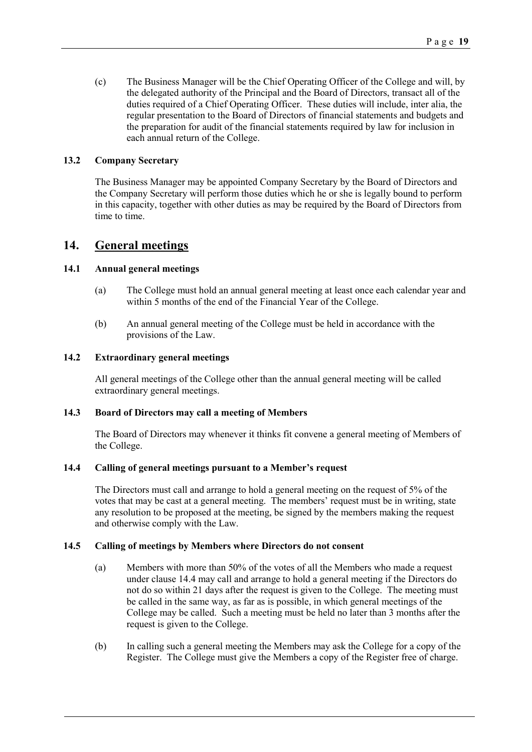(c) The Business Manager will be the Chief Operating Officer of the College and will, by the delegated authority of the Principal and the Board of Directors, transact all of the duties required of a Chief Operating Officer. These duties will include, inter alia, the regular presentation to the Board of Directors of financial statements and budgets and the preparation for audit of the financial statements required by law for inclusion in each annual return of the College.

#### **13.2 Company Secretary**

The Business Manager may be appointed Company Secretary by the Board of Directors and the Company Secretary will perform those duties which he or she is legally bound to perform in this capacity, together with other duties as may be required by the Board of Directors from time to time.

### <span id="page-18-1"></span>**14. General meetings**

### **14.1 Annual general meetings**

- (a) The College must hold an annual general meeting at least once each calendar year and within 5 months of the end of the Financial Year of the College.
- (b) An annual general meeting of the College must be held in accordance with the provisions of the Law.

### **14.2 Extraordinary general meetings**

All general meetings of the College other than the annual general meeting will be called extraordinary general meetings.

### **14.3 Board of Directors may call a meeting of Members**

The Board of Directors may whenever it thinks fit convene a general meeting of Members of the College.

#### <span id="page-18-0"></span>**14.4 Calling of general meetings pursuant to a Member's request**

The Directors must call and arrange to hold a general meeting on the request of 5% of the votes that may be cast at a general meeting. The members' request must be in writing, state any resolution to be proposed at the meeting, be signed by the members making the request and otherwise comply with the Law.

### **14.5 Calling of meetings by Members where Directors do not consent**

- (a) Members with more than 50% of the votes of all the Members who made a request under clause [14.4](#page-18-0) may call and arrange to hold a general meeting if the Directors do not do so within 21 days after the request is given to the College. The meeting must be called in the same way, as far as is possible, in which general meetings of the College may be called. Such a meeting must be held no later than 3 months after the request is given to the College.
- (b) In calling such a general meeting the Members may ask the College for a copy of the Register. The College must give the Members a copy of the Register free of charge.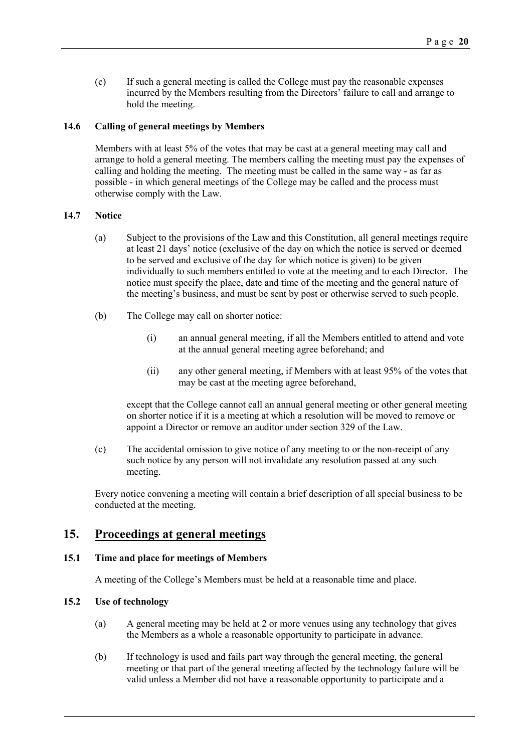(c) If such a general meeting is called the College must pay the reasonable expenses incurred by the Members resulting from the Directors' failure to call and arrange to hold the meeting.

### **14.6 Calling of general meetings by Members**

Members with at least 5% of the votes that may be cast at a general meeting may call and arrange to hold a general meeting. The members calling the meeting must pay the expenses of calling and holding the meeting. The meeting must be called in the same way - as far as possible - in which general meetings of the College may be called and the process must otherwise comply with the Law.

#### **14.7 Notice**

- (a) Subject to the provisions of the Law and this Constitution, all general meetings require at least 21 days' notice (exclusive of the day on which the notice is served or deemed to be served and exclusive of the day for which notice is given) to be given individually to such members entitled to vote at the meeting and to each Director. The notice must specify the place, date and time of the meeting and the general nature of the meeting's business, and must be sent by post or otherwise served to such people.
- (b) The College may call on shorter notice:
	- (i) an annual general meeting, if all the Members entitled to attend and vote at the annual general meeting agree beforehand; and
	- (ii) any other general meeting, if Members with at least 95% of the votes that may be cast at the meeting agree beforehand,

except that the College cannot call an annual general meeting or other general meeting on shorter notice if it is a meeting at which a resolution will be moved to remove or appoint a Director or remove an auditor under section 329 of the Law.

(c) The accidental omission to give notice of any meeting to or the non-receipt of any such notice by any person will not invalidate any resolution passed at any such meeting.

Every notice convening a meeting will contain a brief description of all special business to be conducted at the meeting.

### <span id="page-19-0"></span>**15. Proceedings at general meetings**

#### **15.1 Time and place for meetings of Members**

A meeting of the College's Members must be held at a reasonable time and place.

### **15.2 Use of technology**

- (a) A general meeting may be held at 2 or more venues using any technology that gives the Members as a whole a reasonable opportunity to participate in advance.
- (b) If technology is used and fails part way through the general meeting, the general meeting or that part of the general meeting affected by the technology failure will be valid unless a Member did not have a reasonable opportunity to participate and a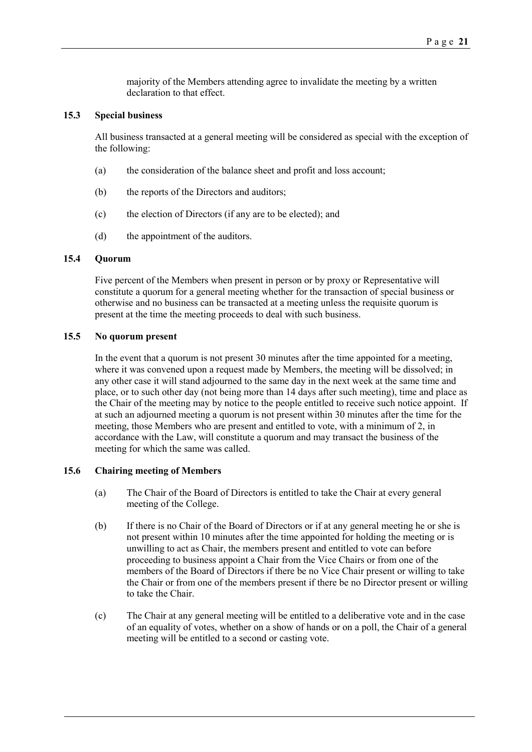majority of the Members attending agree to invalidate the meeting by a written declaration to that effect.

### **15.3 Special business**

All business transacted at a general meeting will be considered as special with the exception of the following:

- (a) the consideration of the balance sheet and profit and loss account;
- (b) the reports of the Directors and auditors;
- (c) the election of Directors (if any are to be elected); and
- (d) the appointment of the auditors.

### **15.4 Quorum**

Five percent of the Members when present in person or by proxy or Representative will constitute a quorum for a general meeting whether for the transaction of special business or otherwise and no business can be transacted at a meeting unless the requisite quorum is present at the time the meeting proceeds to deal with such business.

### **15.5 No quorum present**

In the event that a quorum is not present 30 minutes after the time appointed for a meeting, where it was convened upon a request made by Members, the meeting will be dissolved; in any other case it will stand adjourned to the same day in the next week at the same time and place, or to such other day (not being more than 14 days after such meeting), time and place as the Chair of the meeting may by notice to the people entitled to receive such notice appoint. If at such an adjourned meeting a quorum is not present within 30 minutes after the time for the meeting, those Members who are present and entitled to vote, with a minimum of 2, in accordance with the Law, will constitute a quorum and may transact the business of the meeting for which the same was called.

#### **15.6 Chairing meeting of Members**

- (a) The Chair of the Board of Directors is entitled to take the Chair at every general meeting of the College.
- (b) If there is no Chair of the Board of Directors or if at any general meeting he or she is not present within 10 minutes after the time appointed for holding the meeting or is unwilling to act as Chair, the members present and entitled to vote can before proceeding to business appoint a Chair from the Vice Chairs or from one of the members of the Board of Directors if there be no Vice Chair present or willing to take the Chair or from one of the members present if there be no Director present or willing to take the Chair.
- (c) The Chair at any general meeting will be entitled to a deliberative vote and in the case of an equality of votes, whether on a show of hands or on a poll, the Chair of a general meeting will be entitled to a second or casting vote.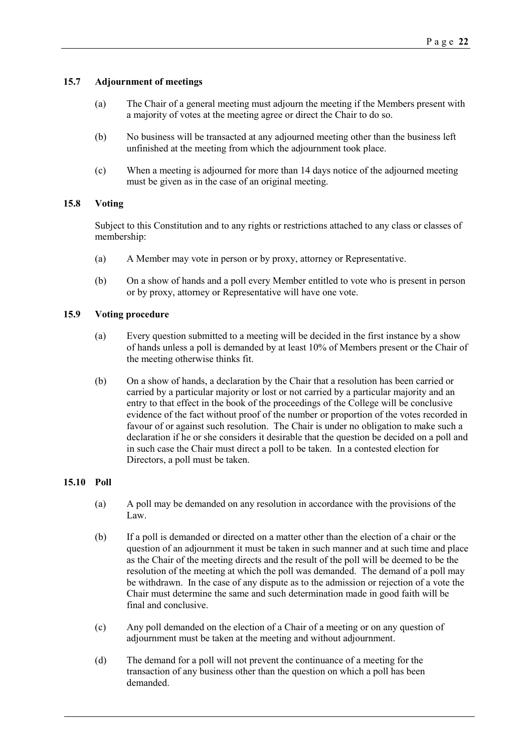### **15.7 Adjournment of meetings**

- (a) The Chair of a general meeting must adjourn the meeting if the Members present with a majority of votes at the meeting agree or direct the Chair to do so.
- (b) No business will be transacted at any adjourned meeting other than the business left unfinished at the meeting from which the adjournment took place.
- (c) When a meeting is adjourned for more than 14 days notice of the adjourned meeting must be given as in the case of an original meeting.

### **15.8 Voting**

Subject to this Constitution and to any rights or restrictions attached to any class or classes of membership:

- (a) A Member may vote in person or by proxy, attorney or Representative.
- (b) On a show of hands and a poll every Member entitled to vote who is present in person or by proxy, attorney or Representative will have one vote.

### **15.9 Voting procedure**

- (a) Every question submitted to a meeting will be decided in the first instance by a show of hands unless a poll is demanded by at least 10% of Members present or the Chair of the meeting otherwise thinks fit.
- (b) On a show of hands, a declaration by the Chair that a resolution has been carried or carried by a particular majority or lost or not carried by a particular majority and an entry to that effect in the book of the proceedings of the College will be conclusive evidence of the fact without proof of the number or proportion of the votes recorded in favour of or against such resolution. The Chair is under no obligation to make such a declaration if he or she considers it desirable that the question be decided on a poll and in such case the Chair must direct a poll to be taken. In a contested election for Directors, a poll must be taken.

### **15.10 Poll**

- (a) A poll may be demanded on any resolution in accordance with the provisions of the Law.
- (b) If a poll is demanded or directed on a matter other than the election of a chair or the question of an adjournment it must be taken in such manner and at such time and place as the Chair of the meeting directs and the result of the poll will be deemed to be the resolution of the meeting at which the poll was demanded. The demand of a poll may be withdrawn. In the case of any dispute as to the admission or rejection of a vote the Chair must determine the same and such determination made in good faith will be final and conclusive.
- (c) Any poll demanded on the election of a Chair of a meeting or on any question of adjournment must be taken at the meeting and without adjournment.
- (d) The demand for a poll will not prevent the continuance of a meeting for the transaction of any business other than the question on which a poll has been demanded.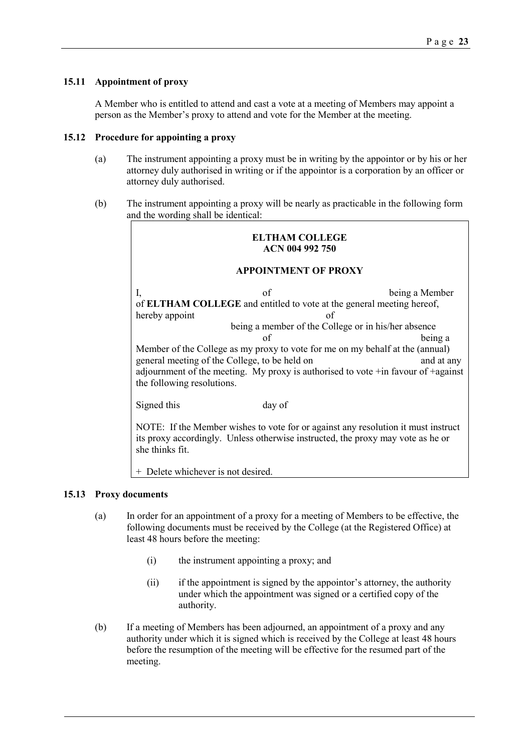### **15.11 Appointment of proxy**

A Member who is entitled to attend and cast a vote at a meeting of Members may appoint a person as the Member's proxy to attend and vote for the Member at the meeting.

### **15.12 Procedure for appointing a proxy**

- (a) The instrument appointing a proxy must be in writing by the appointor or by his or her attorney duly authorised in writing or if the appointor is a corporation by an officer or attorney duly authorised.
- (b) The instrument appointing a proxy will be nearly as practicable in the following form and the wording shall be identical:

|                             | ELTHAM COLLEGE<br>ACN 004 992 750                                                                                                                                                                                                                                     |  |  |
|-----------------------------|-----------------------------------------------------------------------------------------------------------------------------------------------------------------------------------------------------------------------------------------------------------------------|--|--|
| <b>APPOINTMENT OF PROXY</b> |                                                                                                                                                                                                                                                                       |  |  |
|                             | of<br>being a Member<br>I,<br>of ELTHAM COLLEGE and entitled to vote at the general meeting hereof,                                                                                                                                                                   |  |  |
|                             | hereby appoint<br>of<br>being a member of the College or in his/her absence<br>of<br>being a                                                                                                                                                                          |  |  |
|                             | Member of the College as my proxy to vote for me on my behalf at the (annual)<br>general meeting of the College, to be held on<br>and at any<br>adjournment of the meeting. My proxy is authorised to vote $+$ in favour of $+$ against<br>the following resolutions. |  |  |
|                             | Signed this<br>day of                                                                                                                                                                                                                                                 |  |  |
|                             | NOTE: If the Member wishes to vote for or against any resolution it must instruct                                                                                                                                                                                     |  |  |

its proxy accordingly. Unless otherwise instructed, the proxy may vote as he or

+ Delete whichever is not desired.

she thinks fit.

### **15.13 Proxy documents**

- (a) In order for an appointment of a proxy for a meeting of Members to be effective, the following documents must be received by the College (at the Registered Office) at least 48 hours before the meeting:
	- (i) the instrument appointing a proxy; and
	- (ii) if the appointment is signed by the appointor's attorney, the authority under which the appointment was signed or a certified copy of the authority.
- (b) If a meeting of Members has been adjourned, an appointment of a proxy and any authority under which it is signed which is received by the College at least 48 hours before the resumption of the meeting will be effective for the resumed part of the meeting.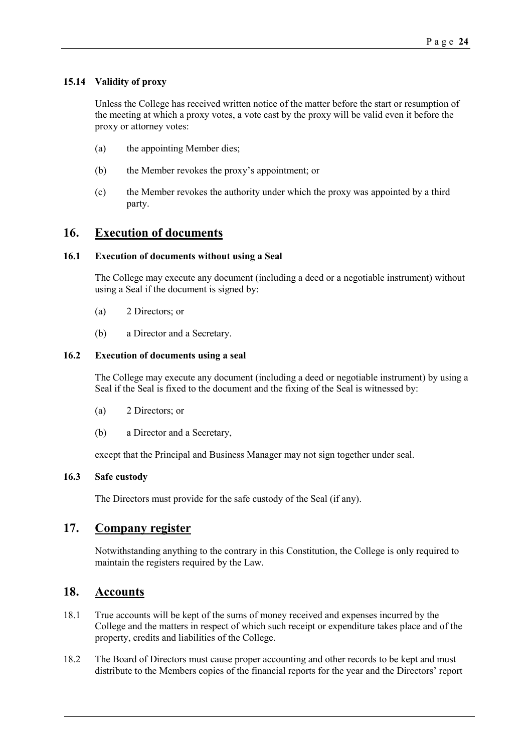### **15.14 Validity of proxy**

Unless the College has received written notice of the matter before the start or resumption of the meeting at which a proxy votes, a vote cast by the proxy will be valid even it before the proxy or attorney votes:

- (a) the appointing Member dies;
- (b) the Member revokes the proxy's appointment; or
- (c) the Member revokes the authority under which the proxy was appointed by a third party.

### <span id="page-23-0"></span>**16. Execution of documents**

### **16.1 Execution of documents without using a Seal**

The College may execute any document (including a deed or a negotiable instrument) without using a Seal if the document is signed by:

- (a) 2 Directors; or
- (b) a Director and a Secretary.

#### **16.2 Execution of documents using a seal**

The College may execute any document (including a deed or negotiable instrument) by using a Seal if the Seal is fixed to the document and the fixing of the Seal is witnessed by:

- (a) 2 Directors; or
- (b) a Director and a Secretary,

except that the Principal and Business Manager may not sign together under seal.

### **16.3 Safe custody**

The Directors must provide for the safe custody of the Seal (if any).

### <span id="page-23-1"></span>**17. Company register**

Notwithstanding anything to the contrary in this Constitution, the College is only required to maintain the registers required by the Law.

### <span id="page-23-2"></span>**18. Accounts**

- 18.1 True accounts will be kept of the sums of money received and expenses incurred by the College and the matters in respect of which such receipt or expenditure takes place and of the property, credits and liabilities of the College.
- 18.2 The Board of Directors must cause proper accounting and other records to be kept and must distribute to the Members copies of the financial reports for the year and the Directors' report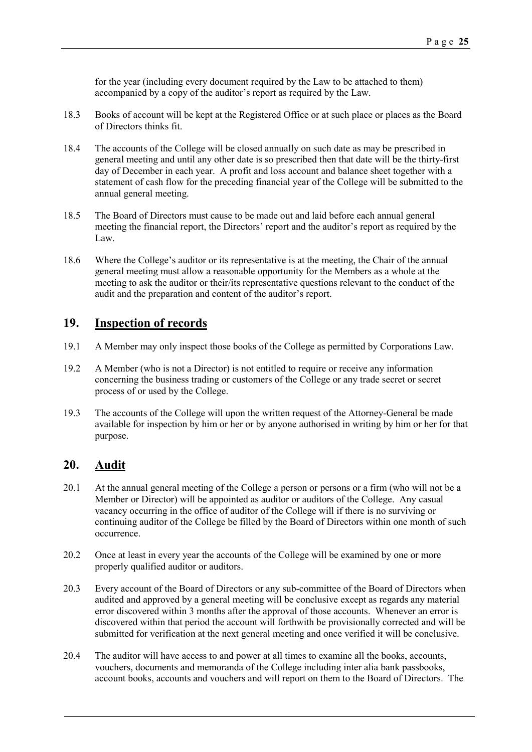for the year (including every document required by the Law to be attached to them) accompanied by a copy of the auditor's report as required by the Law.

- 18.3 Books of account will be kept at the Registered Office or at such place or places as the Board of Directors thinks fit.
- 18.4 The accounts of the College will be closed annually on such date as may be prescribed in general meeting and until any other date is so prescribed then that date will be the thirty-first day of December in each year. A profit and loss account and balance sheet together with a statement of cash flow for the preceding financial year of the College will be submitted to the annual general meeting.
- 18.5 The Board of Directors must cause to be made out and laid before each annual general meeting the financial report, the Directors' report and the auditor's report as required by the Law.
- 18.6 Where the College's auditor or its representative is at the meeting, the Chair of the annual general meeting must allow a reasonable opportunity for the Members as a whole at the meeting to ask the auditor or their/its representative questions relevant to the conduct of the audit and the preparation and content of the auditor's report.

# <span id="page-24-0"></span>**19. Inspection of records**

- 19.1 A Member may only inspect those books of the College as permitted by Corporations Law.
- 19.2 A Member (who is not a Director) is not entitled to require or receive any information concerning the business trading or customers of the College or any trade secret or secret process of or used by the College.
- 19.3 The accounts of the College will upon the written request of the Attorney-General be made available for inspection by him or her or by anyone authorised in writing by him or her for that purpose.

### <span id="page-24-1"></span>**20. Audit**

- 20.1 At the annual general meeting of the College a person or persons or a firm (who will not be a Member or Director) will be appointed as auditor or auditors of the College. Any casual vacancy occurring in the office of auditor of the College will if there is no surviving or continuing auditor of the College be filled by the Board of Directors within one month of such occurrence.
- 20.2 Once at least in every year the accounts of the College will be examined by one or more properly qualified auditor or auditors.
- 20.3 Every account of the Board of Directors or any sub-committee of the Board of Directors when audited and approved by a general meeting will be conclusive except as regards any material error discovered within 3 months after the approval of those accounts. Whenever an error is discovered within that period the account will forthwith be provisionally corrected and will be submitted for verification at the next general meeting and once verified it will be conclusive.
- 20.4 The auditor will have access to and power at all times to examine all the books, accounts, vouchers, documents and memoranda of the College including inter alia bank passbooks, account books, accounts and vouchers and will report on them to the Board of Directors. The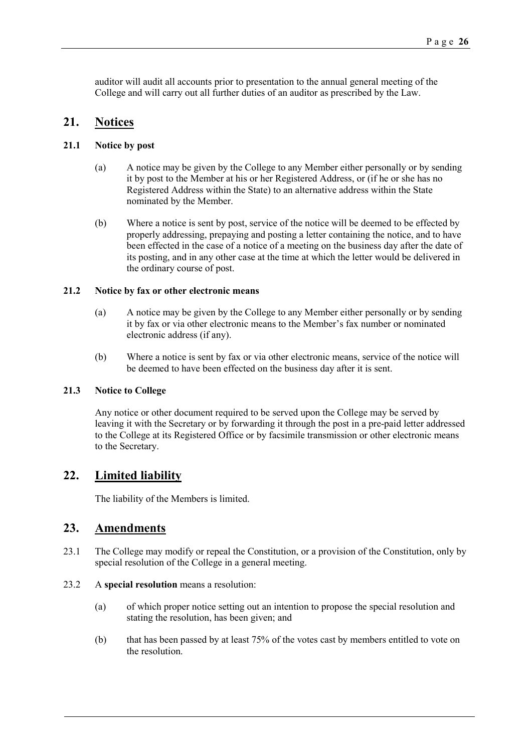auditor will audit all accounts prior to presentation to the annual general meeting of the College and will carry out all further duties of an auditor as prescribed by the Law.

### <span id="page-25-0"></span>**21. Notices**

### **21.1 Notice by post**

- (a) A notice may be given by the College to any Member either personally or by sending it by post to the Member at his or her Registered Address, or (if he or she has no Registered Address within the State) to an alternative address within the State nominated by the Member.
- (b) Where a notice is sent by post, service of the notice will be deemed to be effected by properly addressing, prepaying and posting a letter containing the notice, and to have been effected in the case of a notice of a meeting on the business day after the date of its posting, and in any other case at the time at which the letter would be delivered in the ordinary course of post.

### **21.2 Notice by fax or other electronic means**

- (a) A notice may be given by the College to any Member either personally or by sending it by fax or via other electronic means to the Member's fax number or nominated electronic address (if any).
- (b) Where a notice is sent by fax or via other electronic means, service of the notice will be deemed to have been effected on the business day after it is sent.

### **21.3 Notice to College**

Any notice or other document required to be served upon the College may be served by leaving it with the Secretary or by forwarding it through the post in a pre-paid letter addressed to the College at its Registered Office or by facsimile transmission or other electronic means to the Secretary.

# <span id="page-25-1"></span>**22. Limited liability**

The liability of the Members is limited.

### <span id="page-25-2"></span>**23. Amendments**

- 23.1 The College may modify or repeal the Constitution, or a provision of the Constitution, only by special resolution of the College in a general meeting.
- 23.2 A **special resolution** means a resolution:
	- (a) of which proper notice setting out an intention to propose the special resolution and stating the resolution, has been given; and
	- (b) that has been passed by at least 75% of the votes cast by members entitled to vote on the resolution.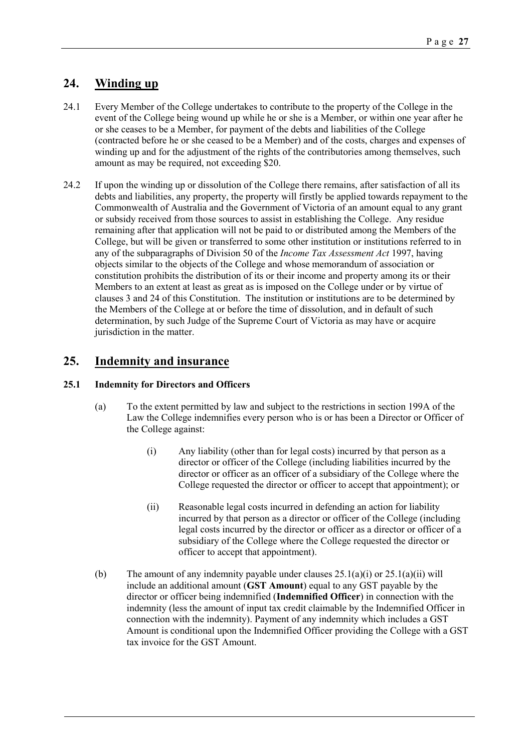# <span id="page-26-0"></span>**24. Winding up**

- 24.1 Every Member of the College undertakes to contribute to the property of the College in the event of the College being wound up while he or she is a Member, or within one year after he or she ceases to be a Member, for payment of the debts and liabilities of the College (contracted before he or she ceased to be a Member) and of the costs, charges and expenses of winding up and for the adjustment of the rights of the contributories among themselves, such amount as may be required, not exceeding \$20.
- 24.2 If upon the winding up or dissolution of the College there remains, after satisfaction of all its debts and liabilities, any property, the property will firstly be applied towards repayment to the Commonwealth of Australia and the Government of Victoria of an amount equal to any grant or subsidy received from those sources to assist in establishing the College. Any residue remaining after that application will not be paid to or distributed among the Members of the College, but will be given or transferred to some other institution or institutions referred to in any of the subparagraphs of Division 50 of the *Income Tax Assessment Act* 1997, having objects similar to the objects of the College and whose memorandum of association or constitution prohibits the distribution of its or their income and property among its or their Members to an extent at least as great as is imposed on the College under or by virtue of clauses [3](#page-3-2) an[d 24](#page-26-0) of this Constitution. The institution or institutions are to be determined by the Members of the College at or before the time of dissolution, and in default of such determination, by such Judge of the Supreme Court of Victoria as may have or acquire jurisdiction in the matter.

# <span id="page-26-2"></span>**25. Indemnity and insurance**

### <span id="page-26-1"></span>**25.1 Indemnity for Directors and Officers**

- (a) To the extent permitted by law and subject to the restrictions in section 199A of the Law the College indemnifies every person who is or has been a Director or Officer of the College against:
	- (i) Any liability (other than for legal costs) incurred by that person as a director or officer of the College (including liabilities incurred by the director or officer as an officer of a subsidiary of the College where the College requested the director or officer to accept that appointment); or
	- (ii) Reasonable legal costs incurred in defending an action for liability incurred by that person as a director or officer of the College (including legal costs incurred by the director or officer as a director or officer of a subsidiary of the College where the College requested the director or officer to accept that appointment).
- (b) The amount of any indemnity payable under clauses  $25.1(a)(i)$  or  $25.1(a)(ii)$  will include an additional amount (**GST Amount**) equal to any GST payable by the director or officer being indemnified (**Indemnified Officer**) in connection with the indemnity (less the amount of input tax credit claimable by the Indemnified Officer in connection with the indemnity). Payment of any indemnity which includes a GST Amount is conditional upon the Indemnified Officer providing the College with a GST tax invoice for the GST Amount.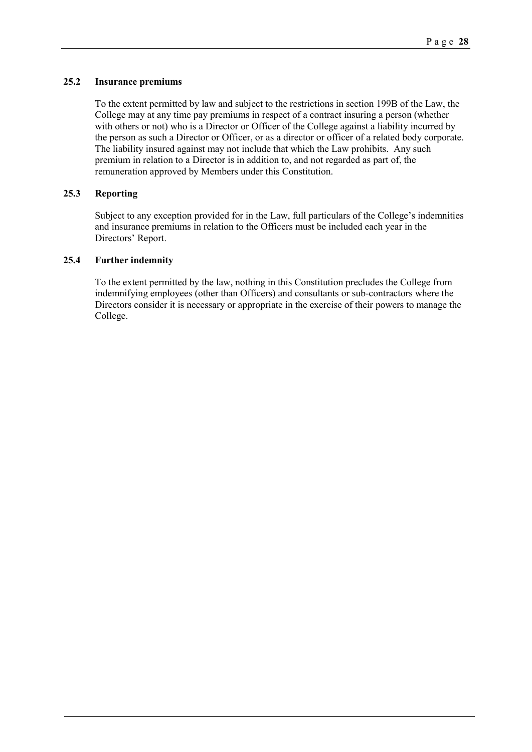### **25.2 Insurance premiums**

To the extent permitted by law and subject to the restrictions in section 199B of the Law, the College may at any time pay premiums in respect of a contract insuring a person (whether with others or not) who is a Director or Officer of the College against a liability incurred by the person as such a Director or Officer, or as a director or officer of a related body corporate. The liability insured against may not include that which the Law prohibits. Any such premium in relation to a Director is in addition to, and not regarded as part of, the remuneration approved by Members under this Constitution.

### **25.3 Reporting**

Subject to any exception provided for in the Law, full particulars of the College's indemnities and insurance premiums in relation to the Officers must be included each year in the Directors' Report.

### **25.4 Further indemnity**

To the extent permitted by the law, nothing in this Constitution precludes the College from indemnifying employees (other than Officers) and consultants or sub-contractors where the Directors consider it is necessary or appropriate in the exercise of their powers to manage the College.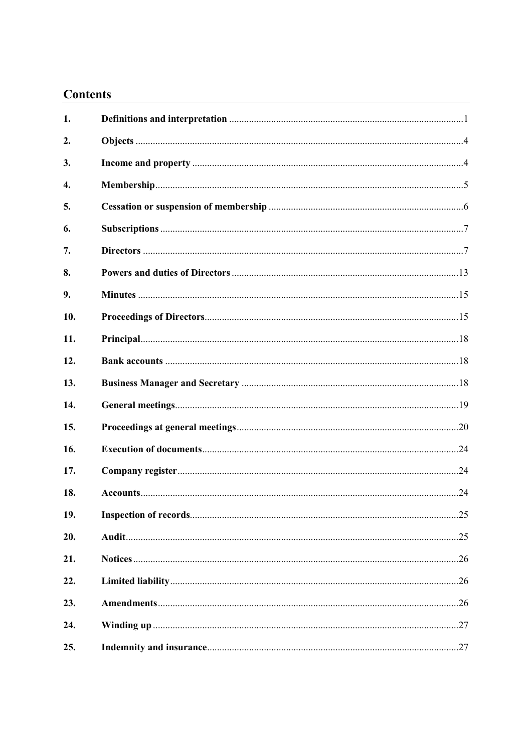# **Contents**

| 1.  |  |
|-----|--|
| 2.  |  |
| 3.  |  |
| 4.  |  |
| 5.  |  |
| 6.  |  |
| 7.  |  |
| 8.  |  |
| 9.  |  |
| 10. |  |
| 11. |  |
| 12. |  |
| 13. |  |
| 14. |  |
| 15. |  |
| 16. |  |
| 17. |  |
| 18. |  |
| 19. |  |
| 20. |  |
| 21. |  |
| 22. |  |
| 23. |  |
| 24. |  |
| 25. |  |